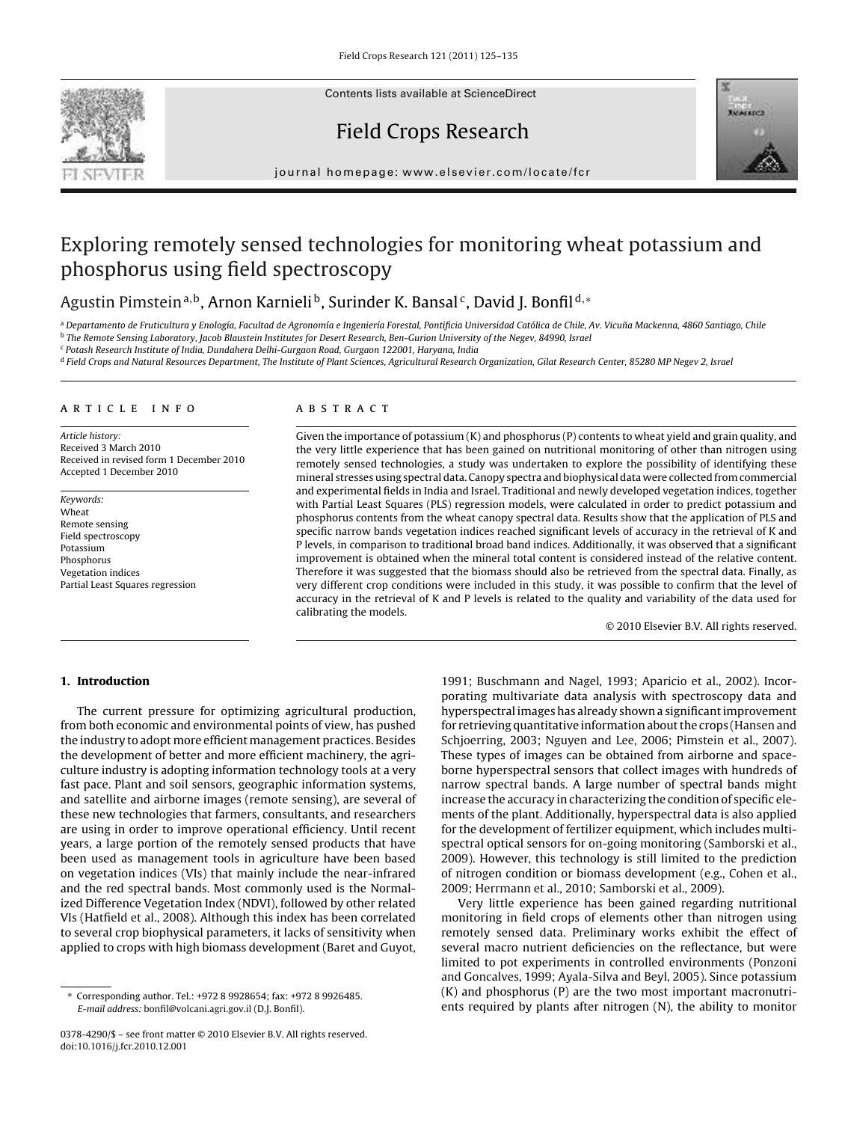Contents lists available at ScienceDirect

# Field Crops Research



journal homepage: www.elsevier.com/locate/fcr

# Exploring remotely sensed technologies for monitoring wheat potassium and phosphorus using field spectroscopy

# Agustin Pimstein<sup>a,b</sup>, Arnon Karnieli<sup>b</sup>, Surinder K. Bansal<sup>c</sup>, David J. Bonfil<sup>d,</sup>\*

a Departamento de Fruticultura y Enología, Facultad de Agronomía e Ingeniería Forestal, Pontificia Universidad Católica de Chile, Av. Vicuña Mackenna, 4860 Santiago, Chile <sup>b</sup> The Remote Sensing Laboratory, Jacob Blaustein Institutes for Desert Research, Ben-Gurion University of the Negev, 84990, Israel

<sup>c</sup> Potash Research Institute of India, Dundahera Delhi-Gurgaon Road, Gurgaon 122001, Haryana, India

<sup>d</sup> Field Crops and Natural Resources Department, The Institute of Plant Sciences, Agricultural Research Organization, Gilat Research Center, 85280 MP Negev 2, Israel

#### article info

Article history: Received 3 March 2010 Received in revised form 1 December 2010 Accepted 1 December 2010

Keywords: Wheat Remote sensing Field spectroscopy Potassium Phosphorus Vegetation indices Partial Least Squares regression

### ABSTRACT

Given the importance of potassium (K) and phosphorus (P) contents to wheat yield and grain quality, and the very little experience that has been gained on nutritional monitoring of other than nitrogen using remotely sensed technologies, a study was undertaken to explore the possibility of identifying these mineral stresses using spectral data. Canopy spectra and biophysical data were collected from commercial and experimental fields in India and Israel. Traditional and newly developed vegetation indices, together with Partial Least Squares (PLS) regression models, were calculated in order to predict potassium and phosphorus contents from the wheat canopy spectral data. Results show that the application of PLS and specific narrow bands vegetation indices reached significant levels of accuracy in the retrieval of K and P levels, in comparison to traditional broad band indices. Additionally, it was observed that a significant improvement is obtained when the mineral total content is considered instead of the relative content. Therefore it was suggested that the biomass should also be retrieved from the spectral data. Finally, as very different crop conditions were included in this study, it was possible to confirm that the level of accuracy in the retrieval of K and P levels is related to the quality and variability of the data used for calibrating the models.

© 2010 Elsevier B.V. All rights reserved.

#### 1. Introduction

The current pressure for optimizing agricultural production, from both economic and environmental points of view, has pushed the industry to adopt more efficient management practices. Besides the development of better and more efficient machinery, the agriculture industry is adopting information technology tools at a very fast pace. Plant and soil sensors, geographic information systems, and satellite and airborne images (remote sensing), are several of these new technologies that farmers, consultants, and researchers are using in order to improve operational efficiency. Until recent years, a large portion of the remotely sensed products that have been used as management tools in agriculture have been based on vegetation indices (VIs) that mainly include the near-infrared and the red spectral bands. Most commonly used is the Normalized Difference Vegetation Index (NDVI), followed by other related VIs (Hatfield et al., 2008). Although this index has been correlated to several crop biophysical parameters, it lacks of sensitivity when applied to crops with high biomass development (Baret and Guyot,

1991; Buschmann and Nagel, 1993; Aparicio et al., 2002). Incorporating multivariate data analysis with spectroscopy data and hyperspectral images has already shown a significant improvement for retrieving quantitative information about the crops (Hansen and Schjoerring, 2003; Nguyen and Lee, 2006; Pimstein et al., 2007). These types of images can be obtained from airborne and spaceborne hyperspectral sensors that collect images with hundreds of narrow spectral bands. A large number of spectral bands might increase the accuracy in characterizing the condition of specific elements of the plant. Additionally, hyperspectral data is also applied for the development of fertilizer equipment, which includes multispectral optical sensors for on-going monitoring (Samborski et al., 2009). However, this technology is still limited to the prediction of nitrogen condition or biomass development (e.g., Cohen et al., 2009; Herrmann et al., 2010; Samborski et al., 2009).

Very little experience has been gained regarding nutritional monitoring in field crops of elements other than nitrogen using remotely sensed data. Preliminary works exhibit the effect of several macro nutrient deficiencies on the reflectance, but were limited to pot experiments in controlled environments (Ponzoni and Goncalves, 1999; Ayala-Silva and Beyl, 2005). Since potassium (K) and phosphorus (P) are the two most important macronutrients required by plants after nitrogen (N), the ability to monitor

<sup>∗</sup> Corresponding author. Tel.: +972 8 9928654; fax: +972 8 9926485. E-mail address: bonfil@volcani.agri.gov.il (D.J. Bonfil).

<sup>0378-4290/\$ –</sup> see front matter © 2010 Elsevier B.V. All rights reserved. doi:10.1016/j.fcr.2010.12.001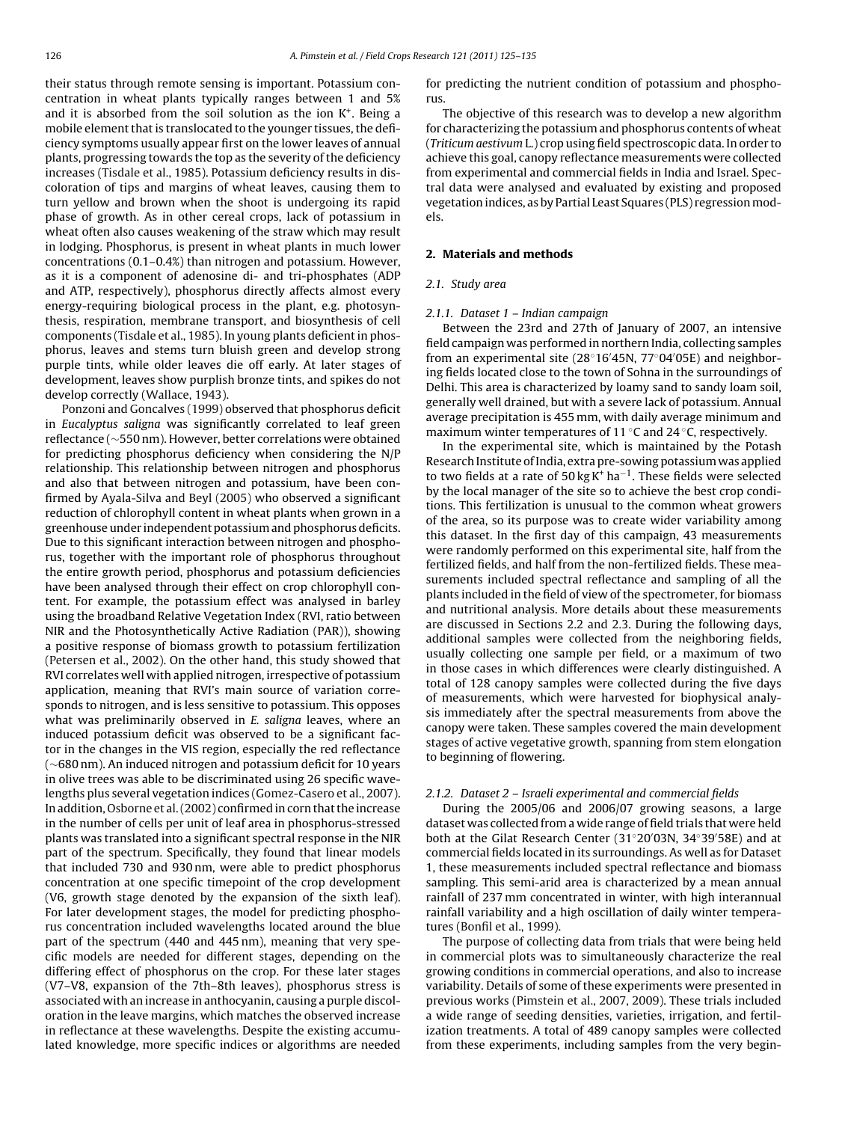their status through remote sensing is important. Potassium concentration in wheat plants typically ranges between 1 and 5% and it is absorbed from the soil solution as the ion  $K<sup>+</sup>$ . Being a mobile element that is translocated to the younger tissues, the deficiency symptoms usually appear first on the lower leaves of annual plants, progressing towards the top as the severity of the deficiency increases (Tisdale et al., 1985). Potassium deficiency results in discoloration of tips and margins of wheat leaves, causing them to turn yellow and brown when the shoot is undergoing its rapid phase of growth. As in other cereal crops, lack of potassium in wheat often also causes weakening of the straw which may result in lodging. Phosphorus, is present in wheat plants in much lower concentrations (0.1–0.4%) than nitrogen and potassium. However, as it is a component of adenosine di- and tri-phosphates (ADP and ATP, respectively), phosphorus directly affects almost every energy-requiring biological process in the plant, e.g. photosynthesis, respiration, membrane transport, and biosynthesis of cell components (Tisdale et al., 1985). In young plants deficient in phosphorus, leaves and stems turn bluish green and develop strong purple tints, while older leaves die off early. At later stages of development, leaves show purplish bronze tints, and spikes do not develop correctly (Wallace, 1943).

Ponzoni and Goncalves (1999) observed that phosphorus deficit in Eucalyptus saligna was significantly correlated to leaf green reflectance (∼550 nm). However, better correlations were obtained for predicting phosphorus deficiency when considering the N/P relationship. This relationship between nitrogen and phosphorus and also that between nitrogen and potassium, have been confirmed by Ayala-Silva and Beyl (2005) who observed a significant reduction of chlorophyll content in wheat plants when grown in a greenhouse under independent potassium and phosphorus deficits. Due to this significant interaction between nitrogen and phosphorus, together with the important role of phosphorus throughout the entire growth period, phosphorus and potassium deficiencies have been analysed through their effect on crop chlorophyll content. For example, the potassium effect was analysed in barley using the broadband Relative Vegetation Index (RVI, ratio between NIR and the Photosynthetically Active Radiation (PAR)), showing a positive response of biomass growth to potassium fertilization (Petersen et al., 2002). On the other hand, this study showed that RVI correlates well with applied nitrogen, irrespective of potassium application, meaning that RVI's main source of variation corresponds to nitrogen, and is less sensitive to potassium. This opposes what was preliminarily observed in  $E$ . saligna leaves, where an induced potassium deficit was observed to be a significant factor in the changes in the VIS region, especially the red reflectance (∼680 nm). An induced nitrogen and potassium deficit for 10 years in olive trees was able to be discriminated using 26 specific wavelengths plus several vegetation indices (Gomez-Casero et al., 2007). In addition, Osborne et al. (2002) confirmed in corn that the increase in the number of cells per unit of leaf area in phosphorus-stressed plants was translated into a significant spectral response in the NIR part of the spectrum. Specifically, they found that linear models that included 730 and 930 nm, were able to predict phosphorus concentration at one specific timepoint of the crop development (V6, growth stage denoted by the expansion of the sixth leaf). For later development stages, the model for predicting phosphorus concentration included wavelengths located around the blue part of the spectrum (440 and 445 nm), meaning that very specific models are needed for different stages, depending on the differing effect of phosphorus on the crop. For these later stages (V7–V8, expansion of the 7th–8th leaves), phosphorus stress is associated with an increase in anthocyanin, causing a purple discoloration in the leave margins, which matches the observed increase in reflectance at these wavelengths. Despite the existing accumulated knowledge, more specific indices or algorithms are needed

for predicting the nutrient condition of potassium and phosphorus.

The objective of this research was to develop a new algorithm for characterizing the potassium and phosphorus contents of wheat (Triticum aestivum L.) crop using field spectroscopic data. In order to achieve this goal, canopy reflectance measurements were collected from experimental and commercial fields in India and Israel. Spectral data were analysed and evaluated by existing and proposed vegetation indices, as by Partial Least Squares (PLS) regression models.

#### 2. Materials and methods

#### 2.1. Study area

#### 2.1.1. Dataset 1 – Indian campaign

Between the 23rd and 27th of January of 2007, an intensive field campaign was performed in northern India, collecting samples from an experimental site (28◦16′45N, 77◦04′05E) and neighboring fields located close to the town of Sohna in the surroundings of Delhi. This area is characterized by loamy sand to sandy loam soil, generally well drained, but with a severe lack of potassium. Annual average precipitation is 455 mm, with daily average minimum and maximum winter temperatures of 11  $\degree$ C and 24  $\degree$ C, respectively.

In the experimental site, which is maintained by the Potash Research Institute of India, extra pre-sowing potassium was applied to two fields at a rate of 50 kg K<sup>+</sup> ha<sup>-1</sup>. These fields were selected by the local manager of the site so to achieve the best crop conditions. This fertilization is unusual to the common wheat growers of the area, so its purpose was to create wider variability among this dataset. In the first day of this campaign, 43 measurements were randomly performed on this experimental site, half from the fertilized fields, and half from the non-fertilized fields. These measurements included spectral reflectance and sampling of all the plants included in the field of view of the spectrometer, for biomass and nutritional analysis. More details about these measurements are discussed in Sections 2.2 and 2.3. During the following days, additional samples were collected from the neighboring fields, usually collecting one sample per field, or a maximum of two in those cases in which differences were clearly distinguished. A total of 128 canopy samples were collected during the five days of measurements, which were harvested for biophysical analysis immediately after the spectral measurements from above the canopy were taken. These samples covered the main development stages of active vegetative growth, spanning from stem elongation to beginning of flowering.

#### 2.1.2. Dataset 2 – Israeli experimental and commercial fields

During the 2005/06 and 2006/07 growing seasons, a large dataset was collected from a wide range of field trials that were held both at the Gilat Research Center (31◦20′03N, 34◦39′58E) and at commercial fields located in its surroundings. As well as for Dataset 1, these measurements included spectral reflectance and biomass sampling. This semi-arid area is characterized by a mean annual rainfall of 237 mm concentrated in winter, with high interannual rainfall variability and a high oscillation of daily winter temperatures (Bonfil et al., 1999).

The purpose of collecting data from trials that were being held in commercial plots was to simultaneously characterize the real growing conditions in commercial operations, and also to increase variability. Details of some of these experiments were presented in previous works (Pimstein et al., 2007, 2009). These trials included a wide range of seeding densities, varieties, irrigation, and fertilization treatments. A total of 489 canopy samples were collected from these experiments, including samples from the very begin-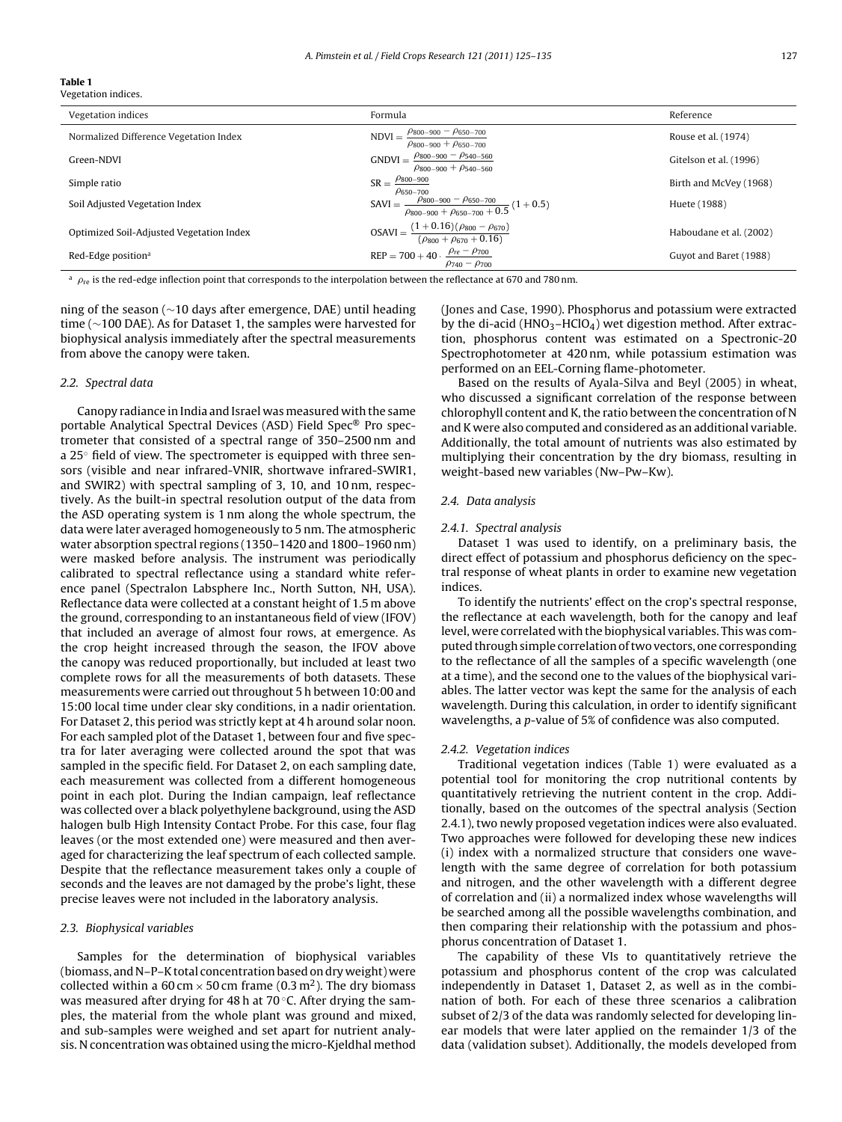#### Table 1 Vegetation indices.

| Vegetation indices                       | Formula                                                                                                   | Reference               |
|------------------------------------------|-----------------------------------------------------------------------------------------------------------|-------------------------|
| Normalized Difference Vegetation Index   | $NDVI = \frac{\rho_{800-900} - \rho_{650-700}}{\rho_{800-900}}$<br>$\rho_{800-900} + \rho_{650-700}$      | Rouse et al. (1974)     |
| Green-NDVI                               | GNDVI = $\frac{\rho_{800-900} - \rho_{540-560}}{\rho_{540-560}}$<br>$\rho_{800-900} + \rho_{540-560}$     | Gitelson et al. (1996)  |
| Simple ratio                             | $SR = \frac{\rho_{800-900}}{2}$<br>$\rho_{650-700}$                                                       | Birth and McVey (1968)  |
| Soil Adjusted Vegetation Index           | SAVI = $\frac{\rho_{800-900} - \rho_{650-700}}{\rho_{800-900} + \rho_{650-700} + 0.5}$ (1+0.5)            | Huete (1988)            |
| Optimized Soil-Adjusted Vegetation Index | $OSAVI = \frac{(1+0.16)(\rho_{800} - \rho_{670})}{(\rho_{800} + \rho_{670} + 0.16)}$                      | Haboudane et al. (2002) |
| Red-Edge position <sup>a</sup>           | $REP = 700 + 40 \cdot \frac{\rho_{re} - \rho_{700}}{\rho_{re} - \rho_{100}}$<br>$\rho_{740} - \rho_{700}$ | Guyot and Baret (1988)  |

 $a$   $\rho_{\rm re}$  is the red-edge inflection point that corresponds to the interpolation between the reflectance at 670 and 780 nm.

ning of the season (∼10 days after emergence, DAE) until heading time (∼100 DAE). As for Dataset 1, the samples were harvested for biophysical analysis immediately after the spectral measurements from above the canopy were taken.

#### 2.2. Spectral data

Canopy radiance in India and Israel was measured with the same portable Analytical Spectral Devices (ASD) Field Spec® Pro spectrometer that consisted of a spectral range of 350–2500 nm and a 25◦ field of view. The spectrometer is equipped with three sensors (visible and near infrared-VNIR, shortwave infrared-SWIR1, and SWIR2) with spectral sampling of 3, 10, and 10 nm, respectively. As the built-in spectral resolution output of the data from the ASD operating system is 1 nm along the whole spectrum, the data were later averaged homogeneously to 5 nm. The atmospheric water absorption spectral regions (1350–1420 and 1800–1960 nm) were masked before analysis. The instrument was periodically calibrated to spectral reflectance using a standard white reference panel (Spectralon Labsphere Inc., North Sutton, NH, USA). Reflectance data were collected at a constant height of 1.5 m above the ground, corresponding to an instantaneous field of view (IFOV) that included an average of almost four rows, at emergence. As the crop height increased through the season, the IFOV above the canopy was reduced proportionally, but included at least two complete rows for all the measurements of both datasets. These measurements were carried out throughout 5 h between 10:00 and 15:00 local time under clear sky conditions, in a nadir orientation. For Dataset 2, this period was strictly kept at 4 h around solar noon. For each sampled plot of the Dataset 1, between four and five spectra for later averaging were collected around the spot that was sampled in the specific field. For Dataset 2, on each sampling date, each measurement was collected from a different homogeneous point in each plot. During the Indian campaign, leaf reflectance was collected over a black polyethylene background, using the ASD halogen bulb High Intensity Contact Probe. For this case, four flag leaves (or the most extended one) were measured and then averaged for characterizing the leaf spectrum of each collected sample. Despite that the reflectance measurement takes only a couple of seconds and the leaves are not damaged by the probe's light, these precise leaves were not included in the laboratory analysis.

#### 2.3. Biophysical variables

Samples for the determination of biophysical variables (biomass, and N–P–K total concentration based on dry weight) were collected within a 60 cm  $\times$  50 cm frame (0.3 m<sup>2</sup>). The dry biomass was measured after drying for 48 h at 70 ℃. After drying the samples, the material from the whole plant was ground and mixed, and sub-samples were weighed and set apart for nutrient analysis. N concentration was obtained using the micro-Kjeldhal method

(Jones and Case, 1990). Phosphorus and potassium were extracted by the di-acid ( $HNO<sub>3</sub>$ –HClO<sub>4</sub>) wet digestion method. After extraction, phosphorus content was estimated on a Spectronic-20 Spectrophotometer at 420 nm, while potassium estimation was performed on an EEL-Corning flame-photometer.

Based on the results of Ayala-Silva and Beyl (2005) in wheat, who discussed a significant correlation of the response between chlorophyll content and K, the ratio between the concentration of N and K were also computed and considered as an additional variable. Additionally, the total amount of nutrients was also estimated by multiplying their concentration by the dry biomass, resulting in weight-based new variables (Nw–Pw–Kw).

#### 2.4. Data analysis

#### 2.4.1. Spectral analysis

Dataset 1 was used to identify, on a preliminary basis, the direct effect of potassium and phosphorus deficiency on the spectral response of wheat plants in order to examine new vegetation indices.

To identify the nutrients' effect on the crop's spectral response, the reflectance at each wavelength, both for the canopy and leaf level, were correlated with the biophysical variables. This was computed through simple correlation of two vectors, one corresponding to the reflectance of all the samples of a specific wavelength (one at a time), and the second one to the values of the biophysical variables. The latter vector was kept the same for the analysis of each wavelength. During this calculation, in order to identify significant wavelengths, a p-value of 5% of confidence was also computed.

#### 2.4.2. Vegetation indices

Traditional vegetation indices (Table 1) were evaluated as a potential tool for monitoring the crop nutritional contents by quantitatively retrieving the nutrient content in the crop. Additionally, based on the outcomes of the spectral analysis (Section 2.4.1), two newly proposed vegetation indices were also evaluated. Two approaches were followed for developing these new indices (i) index with a normalized structure that considers one wavelength with the same degree of correlation for both potassium and nitrogen, and the other wavelength with a different degree of correlation and (ii) a normalized index whose wavelengths will be searched among all the possible wavelengths combination, and then comparing their relationship with the potassium and phosphorus concentration of Dataset 1.

The capability of these VIs to quantitatively retrieve the potassium and phosphorus content of the crop was calculated independently in Dataset 1, Dataset 2, as well as in the combination of both. For each of these three scenarios a calibration subset of 2/3 of the data was randomly selected for developing linear models that were later applied on the remainder 1/3 of the data (validation subset). Additionally, the models developed from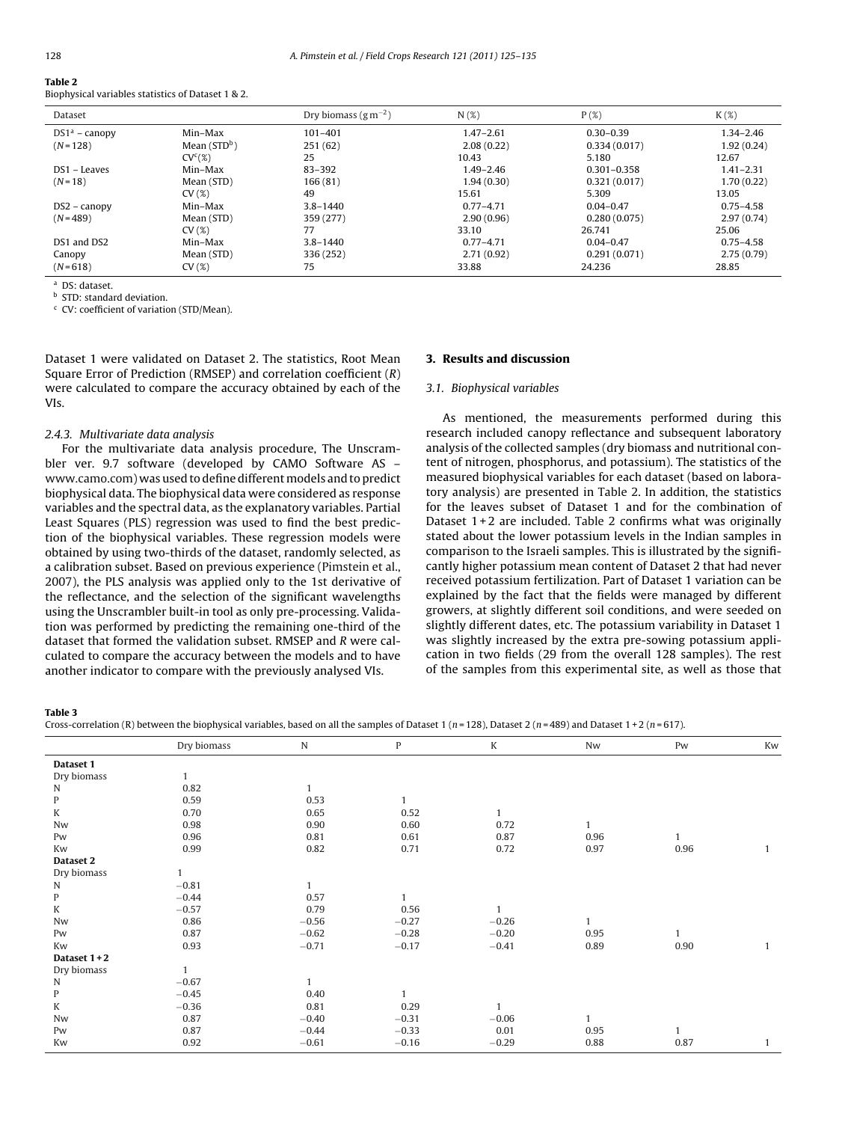| Table 2                                            |  |
|----------------------------------------------------|--|
| Biophysical variables statistics of Dataset 1 & 2. |  |

| Dataset         |                     | Dry biomass $(g m^{-2})$ | $N(\mathcal{X})$ | P(X)            | $K(\mathcal{X})$ |
|-----------------|---------------------|--------------------------|------------------|-----------------|------------------|
| $DS1a$ – canopy | Min-Max             | 101-401                  | $1.47 - 2.61$    | $0.30 - 0.39$   | $1.34 - 2.46$    |
| $(N = 128)$     | Mean $(STD^b)$      | 251(62)                  | 2.08(0.22)       | 0.334(0.017)    | 1.92(0.24)       |
|                 | CV <sup>c</sup> (%) | 25                       | 10.43            | 5.180           | 12.67            |
| DS1 - Leaves    | Min–Max             | 83-392                   | $1.49 - 2.46$    | $0.301 - 0.358$ | $1.41 - 2.31$    |
| $(N = 18)$      | Mean (STD)          | 166(81)                  | 1.94(0.30)       | 0.321(0.017)    | 1.70(0.22)       |
|                 | CV(%)               | 49                       | 15.61            | 5.309           | 13.05            |
| $DS2 - canopy$  | Min–Max             | $3.8 - 1440$             | $0.77 - 4.71$    | $0.04 - 0.47$   | $0.75 - 4.58$    |
| $(N = 489)$     | Mean (STD)          | 359 (277)                | 2.90(0.96)       | 0.280(0.075)    | 2.97(0.74)       |
|                 | CV(%)               | 77                       | 33.10            | 26.741          | 25.06            |
| DS1 and DS2     | Min–Max             | $3.8 - 1440$             | $0.77 - 4.71$    | $0.04 - 0.47$   | $0.75 - 4.58$    |
| Canopy          | Mean (STD)          | 336 (252)                | 2.71(0.92)       | 0.291(0.071)    | 2.75(0.79)       |
| $(N=618)$       | CV(%)               | 75                       | 33.88            | 24.236          | 28.85            |

<sup>a</sup> DS: dataset.

**b** STD: standard deviation.

<sup>c</sup> CV: coefficient of variation (STD/Mean).

Dataset 1 were validated on Dataset 2. The statistics, Root Mean Square Error of Prediction (RMSEP) and correlation coefficient (R) were calculated to compare the accuracy obtained by each of the VIs.

#### 2.4.3. Multivariate data analysis

For the multivariate data analysis procedure, The Unscrambler ver. 9.7 software (developed by CAMO Software AS – www.camo.com) was used to define different models and to predict biophysical data. The biophysical data were considered as response variables and the spectral data, as the explanatory variables. Partial Least Squares (PLS) regression was used to find the best prediction of the biophysical variables. These regression models were obtained by using two-thirds of the dataset, randomly selected, as a calibration subset. Based on previous experience (Pimstein et al., 2007), the PLS analysis was applied only to the 1st derivative of the reflectance, and the selection of the significant wavelengths using the Unscrambler built-in tool as only pre-processing. Validation was performed by predicting the remaining one-third of the dataset that formed the validation subset. RMSEP and R were calculated to compare the accuracy between the models and to have another indicator to compare with the previously analysed VIs.

## 3. Results and discussion

#### 3.1. Biophysical variables

As mentioned, the measurements performed during this research included canopy reflectance and subsequent laboratory analysis of the collected samples (dry biomass and nutritional content of nitrogen, phosphorus, and potassium). The statistics of the measured biophysical variables for each dataset (based on laboratory analysis) are presented in Table 2. In addition, the statistics for the leaves subset of Dataset 1 and for the combination of Dataset  $1+2$  are included. Table 2 confirms what was originally stated about the lower potassium levels in the Indian samples in comparison to the Israeli samples. This is illustrated by the significantly higher potassium mean content of Dataset 2 that had never received potassium fertilization. Part of Dataset 1 variation can be explained by the fact that the fields were managed by different growers, at slightly different soil conditions, and were seeded on slightly different dates, etc. The potassium variability in Dataset 1 was slightly increased by the extra pre-sowing potassium application in two fields (29 from the overall 128 samples). The rest of the samples from this experimental site, as well as those that

Table 3

Cross-correlation (R) between the biophysical variables, based on all the samples of Dataset 1 (n = 128), Dataset 2 (n = 489) and Dataset 1 + 2 (n = 617).

|              | Dry biomass | ${\bf N}$    | $\mathbf{P}$ | K            | Nw           | Pw   | Kw           |
|--------------|-------------|--------------|--------------|--------------|--------------|------|--------------|
| Dataset 1    |             |              |              |              |              |      |              |
| Dry biomass  |             |              |              |              |              |      |              |
| N            | 0.82        |              |              |              |              |      |              |
| P            | 0.59        | 0.53         | $\mathbf{1}$ |              |              |      |              |
| K            | 0.70        | 0.65         | 0.52         | $\mathbf{1}$ |              |      |              |
| Nw           | 0.98        | 0.90         | 0.60         | 0.72         | $\mathbf{1}$ |      |              |
| Pw           | 0.96        | 0.81         | 0.61         | 0.87         | 0.96         |      |              |
| Kw           | 0.99        | 0.82         | 0.71         | 0.72         | 0.97         | 0.96 | $\mathbf{1}$ |
| Dataset 2    |             |              |              |              |              |      |              |
| Dry biomass  |             |              |              |              |              |      |              |
| N            | $-0.81$     | 1            |              |              |              |      |              |
| $\mathbf{P}$ | $-0.44$     | 0.57         | $\mathbf{1}$ |              |              |      |              |
| K            | $-0.57$     | 0.79         | 0.56         |              |              |      |              |
| Nw           | 0.86        | $-0.56$      | $-0.27$      | $-0.26$      | $\mathbf{1}$ |      |              |
| Pw           | 0.87        | $-0.62$      | $-0.28$      | $-0.20$      | 0.95         |      |              |
| Kw           | 0.93        | $-0.71$      | $-0.17$      | $-0.41$      | 0.89         | 0.90 | $\mathbf{1}$ |
| Dataset 1+2  |             |              |              |              |              |      |              |
| Dry biomass  |             |              |              |              |              |      |              |
| N            | $-0.67$     | $\mathbf{1}$ |              |              |              |      |              |
| $\mathbf{P}$ | $-0.45$     | 0.40         | $\mathbf{1}$ |              |              |      |              |
| K            | $-0.36$     | 0.81         | 0.29         | $\mathbf{1}$ |              |      |              |
| Nw           | 0.87        | $-0.40$      | $-0.31$      | $-0.06$      | $\mathbf{1}$ |      |              |
| Pw           | 0.87        | $-0.44$      | $-0.33$      | 0.01         | 0.95         | 1    |              |
| Kw           | 0.92        | $-0.61$      | $-0.16$      | $-0.29$      | 0.88         | 0.87 | $\mathbf{1}$ |
|              |             |              |              |              |              |      |              |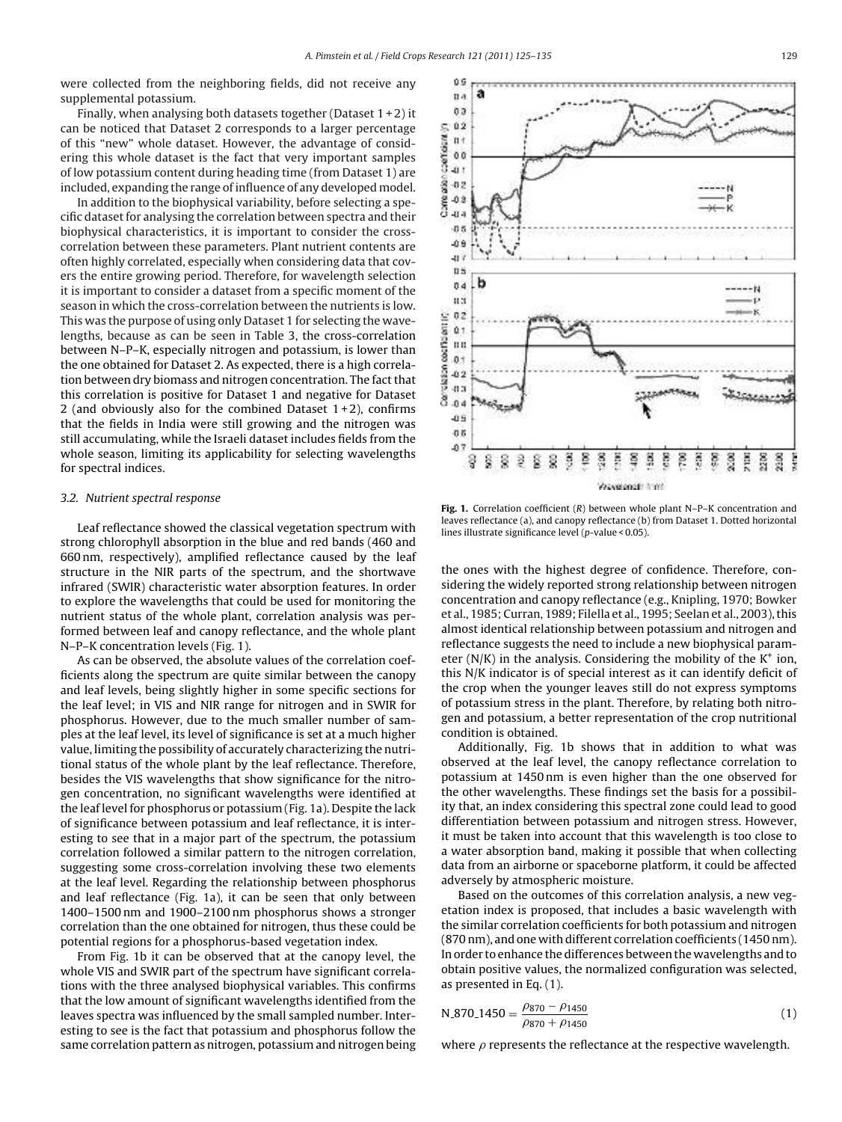were collected from the neighboring fields, did not receive any supplemental potassium.

Finally, when analysing both datasets together (Dataset  $1+2$ ) it can be noticed that Dataset 2 corresponds to a larger percentage of this "new" whole dataset. However, the advantage of considering this whole dataset is the fact that very important samples of low potassium content during heading time (from Dataset 1) are included, expanding the range of influence of any developed model.

In addition to the biophysical variability, before selecting a specific dataset for analysing the correlation between spectra and their biophysical characteristics, it is important to consider the crosscorrelation between these parameters. Plant nutrient contents are often highly correlated, especially when considering data that covers the entire growing period. Therefore, for wavelength selection it is important to consider a dataset from a specific moment of the season in which the cross-correlation between the nutrients is low. This was the purpose of using only Dataset 1 for selecting the wavelengths, because as can be seen in Table 3, the cross-correlation between N–P–K, especially nitrogen and potassium, is lower than the one obtained for Dataset 2. As expected, there is a high correlation between dry biomass and nitrogen concentration. The fact that this correlation is positive for Dataset 1 and negative for Dataset 2 (and obviously also for the combined Dataset  $1+2$ ), confirms that the fields in India were still growing and the nitrogen was still accumulating, while the Israeli dataset includes fields from the whole season, limiting its applicability for selecting wavelengths for spectral indices.

#### 3.2. Nutrient spectral response

Leaf reflectance showed the classical vegetation spectrum with strong chlorophyll absorption in the blue and red bands (460 and 660 nm, respectively), amplified reflectance caused by the leaf structure in the NIR parts of the spectrum, and the shortwave infrared (SWIR) characteristic water absorption features. In order to explore the wavelengths that could be used for monitoring the nutrient status of the whole plant, correlation analysis was performed between leaf and canopy reflectance, and the whole plant N–P–K concentration levels (Fig. 1).

As can be observed, the absolute values of the correlation coefficients along the spectrum are quite similar between the canopy and leaf levels, being slightly higher in some specific sections for the leaf level; in VIS and NIR range for nitrogen and in SWIR for phosphorus. However, due to the much smaller number of samples at the leaf level, its level of significance is set at a much higher value, limiting the possibility of accurately characterizing the nutritional status of the whole plant by the leaf reflectance. Therefore, besides the VIS wavelengths that show significance for the nitrogen concentration, no significant wavelengths were identified at the leaf level for phosphorus or potassium (Fig. 1a). Despite the lack of significance between potassium and leaf reflectance, it is interesting to see that in a major part of the spectrum, the potassium correlation followed a similar pattern to the nitrogen correlation, suggesting some cross-correlation involving these two elements at the leaf level. Regarding the relationship between phosphorus and leaf reflectance (Fig. 1a), it can be seen that only between 1400–1500 nm and 1900–2100 nm phosphorus shows a stronger correlation than the one obtained for nitrogen, thus these could be potential regions for a phosphorus-based vegetation index.

From Fig. 1b it can be observed that at the canopy level, the whole VIS and SWIR part of the spectrum have significant correlations with the three analysed biophysical variables. This confirms that the low amount of significant wavelengths identified from the leaves spectra was influenced by the small sampled number. Interesting to see is the fact that potassium and phosphorus follow the same correlation pattern as nitrogen, potassium and nitrogen being



Fig. 1. Correlation coefficient (R) between whole plant N-P-K concentration and leaves reflectance (a), and canopy reflectance (b) from Dataset 1. Dotted horizontal lines illustrate significance level (p-value < 0.05).

the ones with the highest degree of confidence. Therefore, considering the widely reported strong relationship between nitrogen concentration and canopy reflectance (e.g., Knipling, 1970; Bowker et al., 1985; Curran, 1989; Filella et al., 1995; Seelan et al., 2003), this almost identical relationship between potassium and nitrogen and reflectance suggests the need to include a new biophysical parameter ( $N/K$ ) in the analysis. Considering the mobility of the  $K^+$  ion, this N/K indicator is of special interest as it can identify deficit of the crop when the younger leaves still do not express symptoms of potassium stress in the plant. Therefore, by relating both nitrogen and potassium, a better representation of the crop nutritional condition is obtained.

Additionally, Fig. 1b shows that in addition to what was observed at the leaf level, the canopy reflectance correlation to potassium at 1450 nm is even higher than the one observed for the other wavelengths. These findings set the basis for a possibility that, an index considering this spectral zone could lead to good differentiation between potassium and nitrogen stress. However, it must be taken into account that this wavelength is too close to a water absorption band, making it possible that when collecting data from an airborne or spaceborne platform, it could be affected adversely by atmospheric moisture.

Based on the outcomes of this correlation analysis, a new vegetation index is proposed, that includes a basic wavelength with the similar correlation coefficients for both potassium and nitrogen (870 nm), and one with different correlation coefficients (1450 nm). In order to enhance the differences between the wavelengths and to obtain positive values, the normalized configuration was selected, as presented in Eq. (1).

$$
N_{-}870_{-}1450 = \frac{\rho_{870} - \rho_{1450}}{\rho_{870} + \rho_{1450}}
$$
 (1)

where  $\rho$  represents the reflectance at the respective wavelength.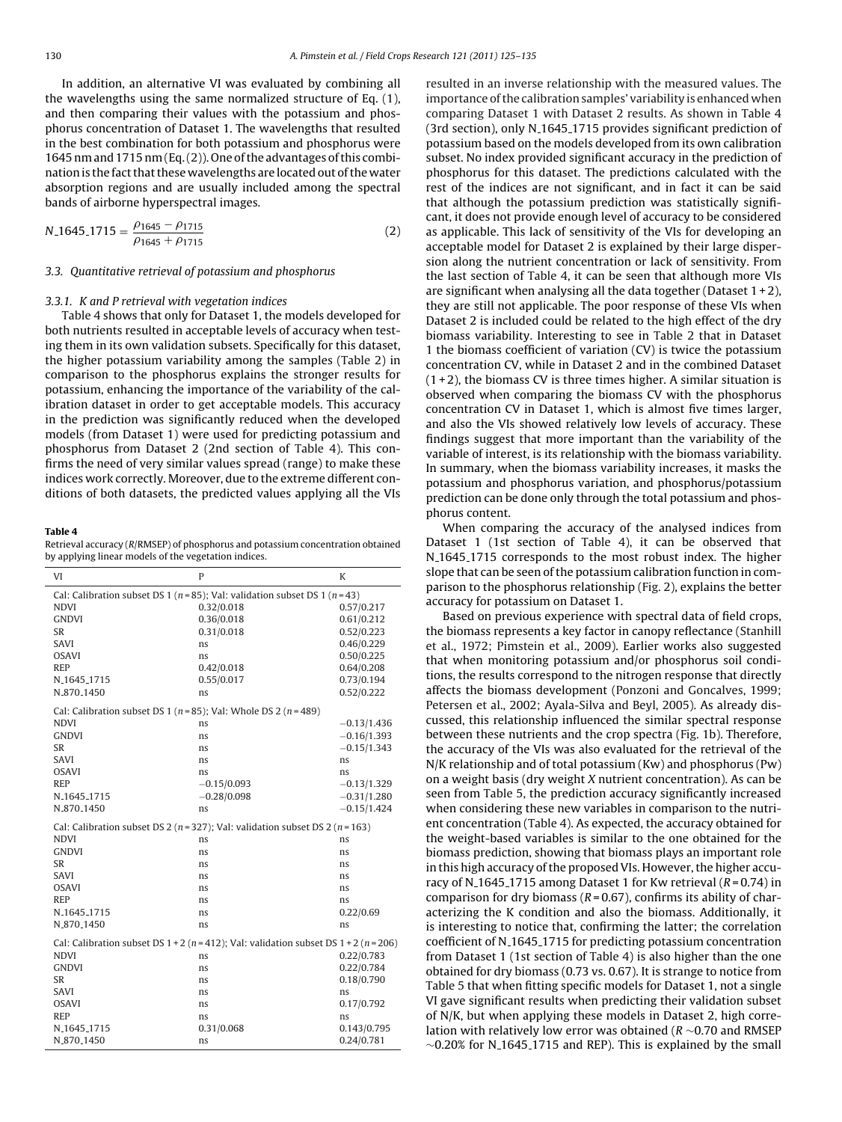In addition, an alternative VI was evaluated by combining all the wavelengths using the same normalized structure of Eq. (1), and then comparing their values with the potassium and phosphorus concentration of Dataset 1. The wavelengths that resulted in the best combination for both potassium and phosphorus were 1645 nm and 1715 nm (Eq.(2)). One of the advantages of this combination is the fact that these wavelengths are located out of the water absorption regions and are usually included among the spectral bands of airborne hyperspectral images.

$$
N.1645.1715 = \frac{\rho_{1645} - \rho_{1715}}{\rho_{1645} + \rho_{1715}}
$$
(2)

#### 3.3. Quantitative retrieval of potassium and phosphorus

#### 3.3.1. K and P retrieval with vegetation indices

Table 4 shows that only for Dataset 1, the models developed for both nutrients resulted in acceptable levels of accuracy when testing them in its own validation subsets. Specifically for this dataset, the higher potassium variability among the samples (Table 2) in comparison to the phosphorus explains the stronger results for potassium, enhancing the importance of the variability of the calibration dataset in order to get acceptable models. This accuracy in the prediction was significantly reduced when the developed models (from Dataset 1) were used for predicting potassium and phosphorus from Dataset 2 (2nd section of Table 4). This confirms the need of very similar values spread (range) to make these indices work correctly. Moreover, due to the extreme different conditions of both datasets, the predicted values applying all the VIs

#### Table 4

Retrieval accuracy (R/RMSEP) of phosphorus and potassium concentration obtained by applying linear models of the vegetation indices.

| VI                                                                       | P                                                                                         | K             |
|--------------------------------------------------------------------------|-------------------------------------------------------------------------------------------|---------------|
|                                                                          | Cal: Calibration subset DS 1 ( $n = 85$ ); Val: validation subset DS 1 ( $n = 43$ )       |               |
| <b>NDVI</b>                                                              | 0.32/0.018                                                                                | 0.57/0.217    |
| <b>GNDVI</b>                                                             | 0.36/0.018                                                                                | 0.61/0.212    |
| SR                                                                       | 0.31/0.018                                                                                | 0.52/0.223    |
| SAVI                                                                     | ns                                                                                        | 0.46/0.229    |
| <b>OSAVI</b>                                                             | ns                                                                                        | 0.50/0.225    |
| <b>REP</b>                                                               | 0.42/0.018                                                                                | 0.64/0.208    |
| N <sub>-1645-1715</sub>                                                  | 0.55/0.017                                                                                | 0.73/0.194    |
| N.870.1450                                                               | ns                                                                                        | 0.52/0.222    |
| Cal: Calibration subset DS 1 ( $n = 85$ ); Val: Whole DS 2 ( $n = 489$ ) |                                                                                           |               |
| <b>NDVI</b>                                                              | ns                                                                                        | $-0.13/1.436$ |
| <b>GNDVI</b>                                                             | ns                                                                                        | $-0.16/1.393$ |
| SR                                                                       | ns                                                                                        | $-0.15/1.343$ |
| SAVI                                                                     | ns                                                                                        | ns            |
| <b>OSAVI</b>                                                             | ns                                                                                        | ns            |
| <b>REP</b>                                                               | $-0.15/0.093$                                                                             | $-0.13/1.329$ |
| N <sub>-1645-1715</sub>                                                  | $-0.28/0.098$                                                                             | $-0.31/1.280$ |
| N <sub>-870-1450</sub>                                                   | ns                                                                                        | $-0.15/1.424$ |
|                                                                          | Cal: Calibration subset DS 2 ( $n = 327$ ); Val: validation subset DS 2 ( $n = 163$ )     |               |
| <b>NDVI</b>                                                              | ns                                                                                        | ns            |
| <b>GNDVI</b>                                                             | ns                                                                                        | ns            |
| SR                                                                       | ns                                                                                        | ns            |
| SAVI                                                                     | ns                                                                                        | ns            |
| <b>OSAVI</b>                                                             | ns                                                                                        | ns            |
| <b>REP</b>                                                               | ns                                                                                        | ns            |
| N <sub>-1645-1715</sub>                                                  | ns                                                                                        | 0.22/0.69     |
| N_870_1450                                                               | ns                                                                                        | ns            |
|                                                                          | Cal: Calibration subset DS $1+2$ ( $n=412$ ); Val: validation subset DS $1+2$ ( $n=206$ ) |               |
| <b>NDVI</b>                                                              | ns                                                                                        | 0.22/0.783    |
| <b>GNDVI</b>                                                             | ns                                                                                        | 0.22/0.784    |
| <b>SR</b>                                                                | ns                                                                                        | 0.18/0.790    |
| SAVI                                                                     | ns                                                                                        | ns            |
| <b>OSAVI</b>                                                             | ns                                                                                        | 0.17/0.792    |
| <b>REP</b>                                                               | ns                                                                                        | ns            |
| N <sub>-1645-1715</sub>                                                  | 0.31/0.068                                                                                | 0.143/0.795   |
| N_870_1450                                                               | ns                                                                                        | 0.24/0.781    |

resulted in an inverse relationship with the measured values. The importance of the calibration samples' variability is enhanced when comparing Dataset 1 with Dataset 2 results. As shown in Table 4 (3rd section), only N<sub>-1645-1715</sub> provides significant prediction of potassium based on the models developed from its own calibration subset. No index provided significant accuracy in the prediction of phosphorus for this dataset. The predictions calculated with the rest of the indices are not significant, and in fact it can be said that although the potassium prediction was statistically significant, it does not provide enough level of accuracy to be considered as applicable. This lack of sensitivity of the VIs for developing an acceptable model for Dataset 2 is explained by their large dispersion along the nutrient concentration or lack of sensitivity. From the last section of Table 4, it can be seen that although more VIs are significant when analysing all the data together (Dataset  $1+2$ ), they are still not applicable. The poor response of these VIs when Dataset 2 is included could be related to the high effect of the dry biomass variability. Interesting to see in Table 2 that in Dataset 1 the biomass coefficient of variation (CV) is twice the potassium concentration CV, while in Dataset 2 and in the combined Dataset  $(1+2)$ , the biomass CV is three times higher. A similar situation is observed when comparing the biomass CV with the phosphorus concentration CV in Dataset 1, which is almost five times larger, and also the VIs showed relatively low levels of accuracy. These findings suggest that more important than the variability of the variable of interest, is its relationship with the biomass variability. In summary, when the biomass variability increases, it masks the potassium and phosphorus variation, and phosphorus/potassium prediction can be done only through the total potassium and phosphorus content.

When comparing the accuracy of the analysed indices from Dataset 1 (1st section of Table 4), it can be observed that N<sub>-1645-1715</sub> corresponds to the most robust index. The higher slope that can be seen of the potassium calibration function in comparison to the phosphorus relationship (Fig. 2), explains the better accuracy for potassium on Dataset 1.

Based on previous experience with spectral data of field crops, the biomass represents a key factor in canopy reflectance (Stanhill et al., 1972; Pimstein et al., 2009). Earlier works also suggested that when monitoring potassium and/or phosphorus soil conditions, the results correspond to the nitrogen response that directly affects the biomass development (Ponzoni and Goncalves, 1999; Petersen et al., 2002; Ayala-Silva and Beyl, 2005). As already discussed, this relationship influenced the similar spectral response between these nutrients and the crop spectra (Fig. 1b). Therefore, the accuracy of the VIs was also evaluated for the retrieval of the N/K relationship and of total potassium (Kw) and phosphorus (Pw) on a weight basis (dry weight X nutrient concentration). As can be seen from Table 5, the prediction accuracy significantly increased when considering these new variables in comparison to the nutrient concentration (Table 4). As expected, the accuracy obtained for the weight-based variables is similar to the one obtained for the biomass prediction, showing that biomass plays an important role in this high accuracy of the proposed VIs. However, the higher accuracy of N<sub>-1645-1715</sub> among Dataset 1 for Kw retrieval ( $R = 0.74$ ) in comparison for dry biomass ( $R = 0.67$ ), confirms its ability of characterizing the K condition and also the biomass. Additionally, it is interesting to notice that, confirming the latter; the correlation coefficient of N 1645 1715 for predicting potassium concentration from Dataset 1 (1st section of Table 4) is also higher than the one obtained for dry biomass (0.73 vs. 0.67). It is strange to notice from Table 5 that when fitting specific models for Dataset 1, not a single VI gave significant results when predicting their validation subset of N/K, but when applying these models in Dataset 2, high correlation with relatively low error was obtained ( $R \sim 0.70$  and RMSEP  $\sim$ 0.20% for N\_1645\_1715 and REP). This is explained by the small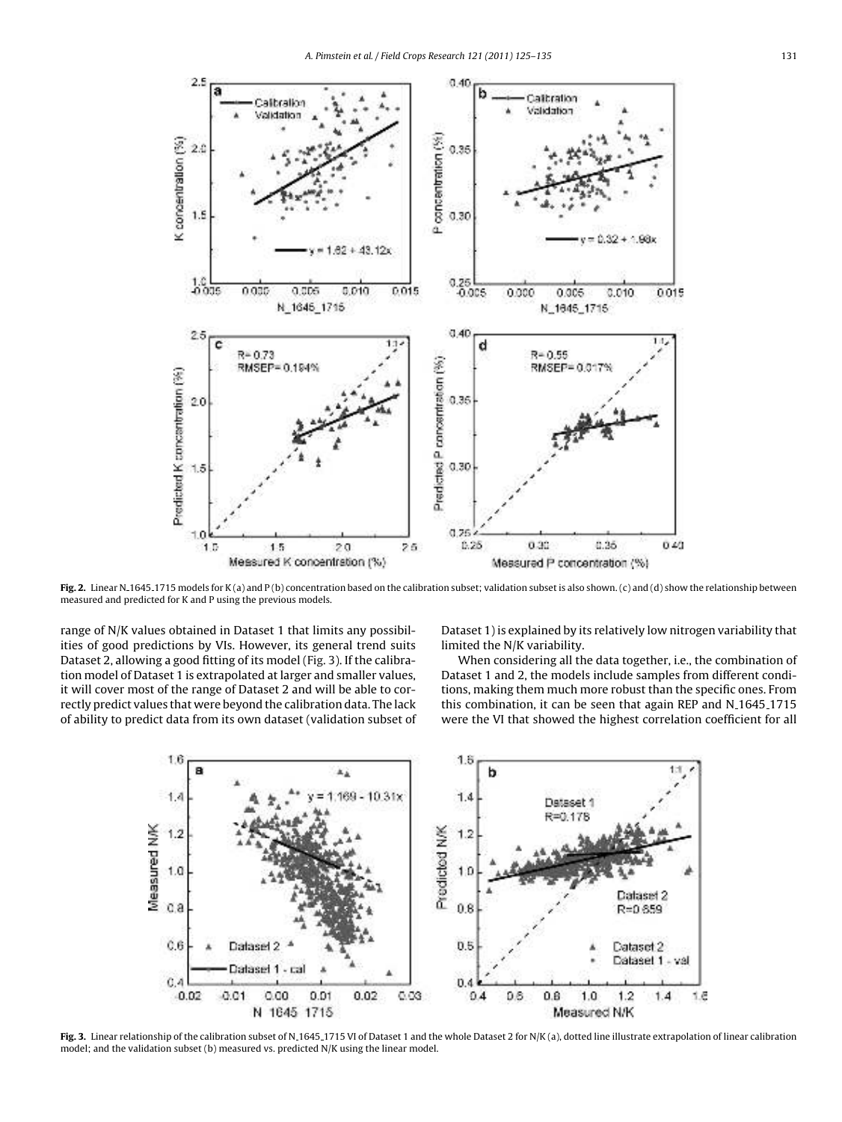

Fig. 2. Linear N<sub>-1645-1715</sub> models for K(a) and P(b) concentration based on the calibration subset; validation subset is also shown. (c) and (d) show the relationship between measured and predicted for K and P using the previous models.

range of N/K values obtained in Dataset 1 that limits any possibilities of good predictions by VIs. However, its general trend suits Dataset 2, allowing a good fitting of its model (Fig. 3). If the calibration model of Dataset 1 is extrapolated at larger and smaller values, it will cover most of the range of Dataset 2 and will be able to correctly predict values that were beyond the calibration data. The lack of ability to predict data from its own dataset (validation subset of Dataset 1) is explained by its relatively low nitrogen variability that limited the N/K variability.

When considering all the data together, i.e., the combination of Dataset 1 and 2, the models include samples from different conditions, making them much more robust than the specific ones. From this combination, it can be seen that again REP and N<sub>-1645-1715</sub> were the VI that showed the highest correlation coefficient for all



Fig. 3. Linear relationship of the calibration subset of N.1645.1715 VI of Dataset 1 and the whole Dataset 2 for N/K (a), dotted line illustrate extrapolation of linear calibration model; and the validation subset (b) measured vs. predicted N/K using the linear model.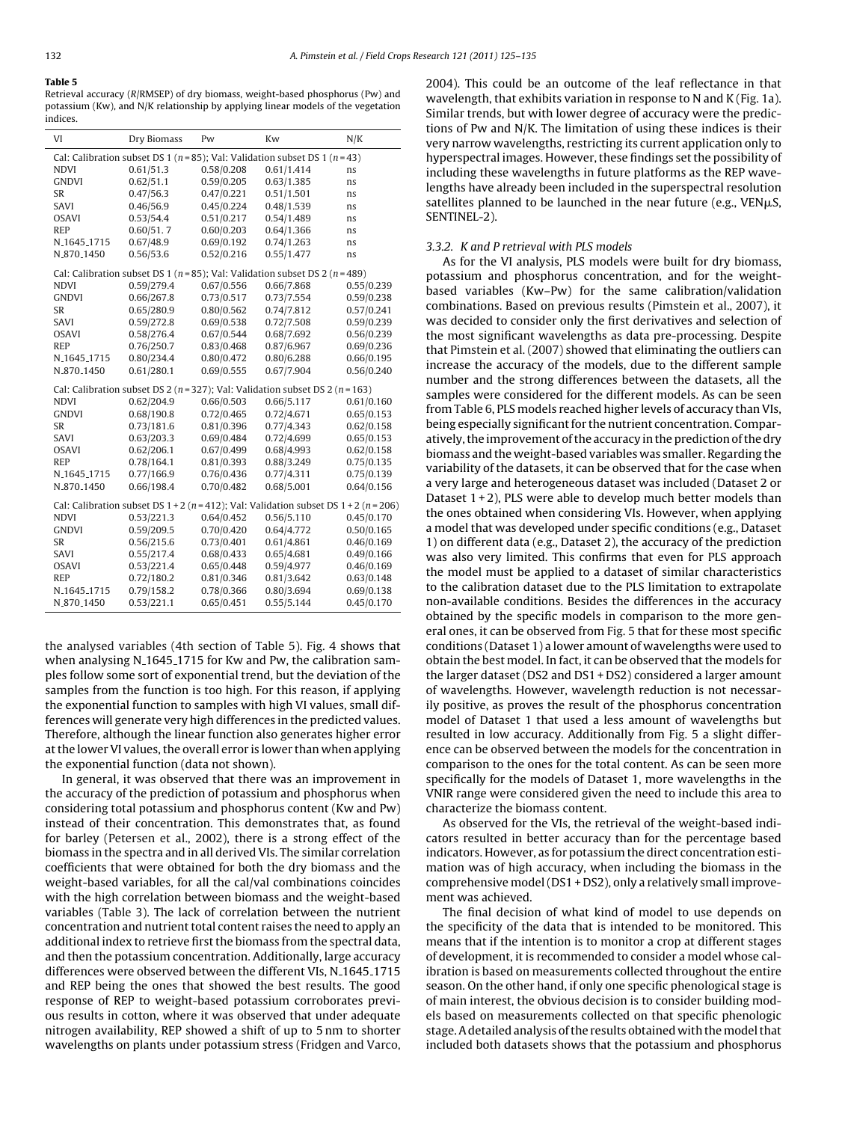Table 5 Retrieval accuracy (R/RMSEP) of dry biomass, weight-based phosphorus (Pw) and potassium (Kw), and N/K relationship by applying linear models of the vegetation indices.

| Cal: Calibration subset DS 1 ( $n = 85$ ); Val: Validation subset DS 1 ( $n = 43$ )<br>0.61/51.3<br>0.61/1.414<br><b>NDVI</b><br>0.58/0.208<br>ns<br><b>GNDVI</b><br>0.62/51.1<br>0.59/0.205<br>0.63/1.385<br>ns<br>0.47/56.3<br>SR<br>0.47/0.221<br>0.51/1.501<br>ns<br>0.46/56.9<br>0.45/0.224<br>0.48/1.539<br>SAVI<br>ns<br>0.53/54.4<br>0.51/0.217<br>0.54/1.489<br><b>OSAVI</b><br>ns<br>0.60/51.7<br>0.60/0.203<br><b>REP</b><br>0.64/1.366<br>ns<br>0.67/48.9<br>0.69/0.192<br>N <sub>-1645-1715</sub><br>0.74/1.263<br>ns<br>N.870.1450<br>0.56/53.6<br>0.52/0.216<br>0.55/1.477<br>ns<br>Cal: Calibration subset DS 1 ( $n = 85$ ); Val: Validation subset DS 2 ( $n = 489$ )<br><b>NDVI</b><br>0.59/279.4<br>0.67/0.556<br>0.66/7.868<br>0.55/0.239<br><b>GNDVI</b><br>0.66/267.8<br>0.73/0.517<br>0.73/7.554<br>0.59/0.238<br>0.65/280.9<br>0.80/0.562<br>0.74/7.812<br>0.57/0.241<br>SR<br>0.72/7.508<br>0.59/0.239<br>SAVI<br>0.59/272.8<br>0.69/0.538<br>0.67/0.544<br>0.68/7.692<br>0.56/0.239<br><b>OSAVI</b><br>0.58/276.4<br><b>REP</b><br>0.76/250.7<br>0.87/6.967<br>0.69/0.236<br>0.83/0.468<br>N <sub>-1645-1715</sub><br>0.80/234.4<br>0.80/0.472<br>0.80/6.288<br>0.66/0.195<br>0.61/280.1<br>0.56/0.240<br>N_870 <sub>-1450</sub><br>0.69/0.555<br>0.67/7.904<br>Cal: Calibration subset DS 2 ( $n = 327$ ); Val: Validation subset DS 2 ( $n = 163$ )<br><b>NDVI</b><br>0.62/204.9<br>0.66/0.503<br>0.66/5.117<br>0.61/0.160<br>0.72/4.671<br><b>GNDVI</b><br>0.68/190.8<br>0.72/0.465<br>0.65/0.153<br><b>SR</b><br>0.73/181.6<br>0.81/0.396<br>0.77/4.343<br>0.62/0.158<br>SAVI<br>0.63/203.3<br>0.69/0.484<br>0.72/4.699<br>0.65/0.153<br><b>OSAVI</b><br>0.62/206.1<br>0.67/0.499<br>0.68/4.993<br>0.62/0.158<br>0.78/164.1<br>0.75/0.135<br><b>REP</b><br>0.81/0.393<br>0.88/3.249<br>0.77/166.9<br>0.76/0.436<br>0.77/4.311<br>0.75/0.139<br>N <sub>-1645-1715</sub><br>0.66/198.4<br>N.870.1450<br>0.70/0.482<br>0.68/5.001<br>0.64/0.156<br>Cal: Calibration subset DS $1+2$ ( $n=412$ ); Val: Validation subset DS $1+2$ ( $n=206$ )<br>0.53/221.3<br>0.64/0.452<br>0.56/5.110<br>0.45/0.170<br><b>NDVI</b><br>0.64/4.772<br><b>GNDVI</b><br>0.59/209.5<br>0.70/0.420<br>0.50/0.165<br>SR<br>0.56/215.6<br>0.73/0.401<br>0.61/4.861<br>0.46/0.169<br>0.49/0.166<br>SAVI<br>0.55/217.4<br>0.68/0.433<br>0.65/4.681<br>0.65/0.448<br>0.59/4.977<br>0.46/0.169<br><b>OSAVI</b><br>0.53/221.4<br>0.72/180.2<br>0.81/0.346<br>0.63/0.148<br><b>REP</b><br>0.81/3.642<br>0.79/158.2<br>0.69/0.138<br>N <sub>-1645-1715</sub><br>0.78/0.366<br>0.80/3.694<br>0.53/221.1<br>0.65/0.451<br>0.55/5.144<br>0.45/0.170<br>N.870.1450 | VI | Dry Biomass | Pw | Kw | N/K |
|--------------------------------------------------------------------------------------------------------------------------------------------------------------------------------------------------------------------------------------------------------------------------------------------------------------------------------------------------------------------------------------------------------------------------------------------------------------------------------------------------------------------------------------------------------------------------------------------------------------------------------------------------------------------------------------------------------------------------------------------------------------------------------------------------------------------------------------------------------------------------------------------------------------------------------------------------------------------------------------------------------------------------------------------------------------------------------------------------------------------------------------------------------------------------------------------------------------------------------------------------------------------------------------------------------------------------------------------------------------------------------------------------------------------------------------------------------------------------------------------------------------------------------------------------------------------------------------------------------------------------------------------------------------------------------------------------------------------------------------------------------------------------------------------------------------------------------------------------------------------------------------------------------------------------------------------------------------------------------------------------------------------------------------------------------------------------------------------------------------------------------------------------------------------------------------------------------------------------------------------------------------------------------------------------------------------------------------------------------------------------------------------------------------------------------------------------------------------------------------------------------------------------------------------------------------------------------------------------------------------------------------------------------------|----|-------------|----|----|-----|
|                                                                                                                                                                                                                                                                                                                                                                                                                                                                                                                                                                                                                                                                                                                                                                                                                                                                                                                                                                                                                                                                                                                                                                                                                                                                                                                                                                                                                                                                                                                                                                                                                                                                                                                                                                                                                                                                                                                                                                                                                                                                                                                                                                                                                                                                                                                                                                                                                                                                                                                                                                                                                                                              |    |             |    |    |     |
|                                                                                                                                                                                                                                                                                                                                                                                                                                                                                                                                                                                                                                                                                                                                                                                                                                                                                                                                                                                                                                                                                                                                                                                                                                                                                                                                                                                                                                                                                                                                                                                                                                                                                                                                                                                                                                                                                                                                                                                                                                                                                                                                                                                                                                                                                                                                                                                                                                                                                                                                                                                                                                                              |    |             |    |    |     |
|                                                                                                                                                                                                                                                                                                                                                                                                                                                                                                                                                                                                                                                                                                                                                                                                                                                                                                                                                                                                                                                                                                                                                                                                                                                                                                                                                                                                                                                                                                                                                                                                                                                                                                                                                                                                                                                                                                                                                                                                                                                                                                                                                                                                                                                                                                                                                                                                                                                                                                                                                                                                                                                              |    |             |    |    |     |
|                                                                                                                                                                                                                                                                                                                                                                                                                                                                                                                                                                                                                                                                                                                                                                                                                                                                                                                                                                                                                                                                                                                                                                                                                                                                                                                                                                                                                                                                                                                                                                                                                                                                                                                                                                                                                                                                                                                                                                                                                                                                                                                                                                                                                                                                                                                                                                                                                                                                                                                                                                                                                                                              |    |             |    |    |     |
|                                                                                                                                                                                                                                                                                                                                                                                                                                                                                                                                                                                                                                                                                                                                                                                                                                                                                                                                                                                                                                                                                                                                                                                                                                                                                                                                                                                                                                                                                                                                                                                                                                                                                                                                                                                                                                                                                                                                                                                                                                                                                                                                                                                                                                                                                                                                                                                                                                                                                                                                                                                                                                                              |    |             |    |    |     |
|                                                                                                                                                                                                                                                                                                                                                                                                                                                                                                                                                                                                                                                                                                                                                                                                                                                                                                                                                                                                                                                                                                                                                                                                                                                                                                                                                                                                                                                                                                                                                                                                                                                                                                                                                                                                                                                                                                                                                                                                                                                                                                                                                                                                                                                                                                                                                                                                                                                                                                                                                                                                                                                              |    |             |    |    |     |
|                                                                                                                                                                                                                                                                                                                                                                                                                                                                                                                                                                                                                                                                                                                                                                                                                                                                                                                                                                                                                                                                                                                                                                                                                                                                                                                                                                                                                                                                                                                                                                                                                                                                                                                                                                                                                                                                                                                                                                                                                                                                                                                                                                                                                                                                                                                                                                                                                                                                                                                                                                                                                                                              |    |             |    |    |     |
|                                                                                                                                                                                                                                                                                                                                                                                                                                                                                                                                                                                                                                                                                                                                                                                                                                                                                                                                                                                                                                                                                                                                                                                                                                                                                                                                                                                                                                                                                                                                                                                                                                                                                                                                                                                                                                                                                                                                                                                                                                                                                                                                                                                                                                                                                                                                                                                                                                                                                                                                                                                                                                                              |    |             |    |    |     |
|                                                                                                                                                                                                                                                                                                                                                                                                                                                                                                                                                                                                                                                                                                                                                                                                                                                                                                                                                                                                                                                                                                                                                                                                                                                                                                                                                                                                                                                                                                                                                                                                                                                                                                                                                                                                                                                                                                                                                                                                                                                                                                                                                                                                                                                                                                                                                                                                                                                                                                                                                                                                                                                              |    |             |    |    |     |
|                                                                                                                                                                                                                                                                                                                                                                                                                                                                                                                                                                                                                                                                                                                                                                                                                                                                                                                                                                                                                                                                                                                                                                                                                                                                                                                                                                                                                                                                                                                                                                                                                                                                                                                                                                                                                                                                                                                                                                                                                                                                                                                                                                                                                                                                                                                                                                                                                                                                                                                                                                                                                                                              |    |             |    |    |     |
|                                                                                                                                                                                                                                                                                                                                                                                                                                                                                                                                                                                                                                                                                                                                                                                                                                                                                                                                                                                                                                                                                                                                                                                                                                                                                                                                                                                                                                                                                                                                                                                                                                                                                                                                                                                                                                                                                                                                                                                                                                                                                                                                                                                                                                                                                                                                                                                                                                                                                                                                                                                                                                                              |    |             |    |    |     |
|                                                                                                                                                                                                                                                                                                                                                                                                                                                                                                                                                                                                                                                                                                                                                                                                                                                                                                                                                                                                                                                                                                                                                                                                                                                                                                                                                                                                                                                                                                                                                                                                                                                                                                                                                                                                                                                                                                                                                                                                                                                                                                                                                                                                                                                                                                                                                                                                                                                                                                                                                                                                                                                              |    |             |    |    |     |
|                                                                                                                                                                                                                                                                                                                                                                                                                                                                                                                                                                                                                                                                                                                                                                                                                                                                                                                                                                                                                                                                                                                                                                                                                                                                                                                                                                                                                                                                                                                                                                                                                                                                                                                                                                                                                                                                                                                                                                                                                                                                                                                                                                                                                                                                                                                                                                                                                                                                                                                                                                                                                                                              |    |             |    |    |     |
|                                                                                                                                                                                                                                                                                                                                                                                                                                                                                                                                                                                                                                                                                                                                                                                                                                                                                                                                                                                                                                                                                                                                                                                                                                                                                                                                                                                                                                                                                                                                                                                                                                                                                                                                                                                                                                                                                                                                                                                                                                                                                                                                                                                                                                                                                                                                                                                                                                                                                                                                                                                                                                                              |    |             |    |    |     |
|                                                                                                                                                                                                                                                                                                                                                                                                                                                                                                                                                                                                                                                                                                                                                                                                                                                                                                                                                                                                                                                                                                                                                                                                                                                                                                                                                                                                                                                                                                                                                                                                                                                                                                                                                                                                                                                                                                                                                                                                                                                                                                                                                                                                                                                                                                                                                                                                                                                                                                                                                                                                                                                              |    |             |    |    |     |
|                                                                                                                                                                                                                                                                                                                                                                                                                                                                                                                                                                                                                                                                                                                                                                                                                                                                                                                                                                                                                                                                                                                                                                                                                                                                                                                                                                                                                                                                                                                                                                                                                                                                                                                                                                                                                                                                                                                                                                                                                                                                                                                                                                                                                                                                                                                                                                                                                                                                                                                                                                                                                                                              |    |             |    |    |     |
|                                                                                                                                                                                                                                                                                                                                                                                                                                                                                                                                                                                                                                                                                                                                                                                                                                                                                                                                                                                                                                                                                                                                                                                                                                                                                                                                                                                                                                                                                                                                                                                                                                                                                                                                                                                                                                                                                                                                                                                                                                                                                                                                                                                                                                                                                                                                                                                                                                                                                                                                                                                                                                                              |    |             |    |    |     |
|                                                                                                                                                                                                                                                                                                                                                                                                                                                                                                                                                                                                                                                                                                                                                                                                                                                                                                                                                                                                                                                                                                                                                                                                                                                                                                                                                                                                                                                                                                                                                                                                                                                                                                                                                                                                                                                                                                                                                                                                                                                                                                                                                                                                                                                                                                                                                                                                                                                                                                                                                                                                                                                              |    |             |    |    |     |
|                                                                                                                                                                                                                                                                                                                                                                                                                                                                                                                                                                                                                                                                                                                                                                                                                                                                                                                                                                                                                                                                                                                                                                                                                                                                                                                                                                                                                                                                                                                                                                                                                                                                                                                                                                                                                                                                                                                                                                                                                                                                                                                                                                                                                                                                                                                                                                                                                                                                                                                                                                                                                                                              |    |             |    |    |     |
|                                                                                                                                                                                                                                                                                                                                                                                                                                                                                                                                                                                                                                                                                                                                                                                                                                                                                                                                                                                                                                                                                                                                                                                                                                                                                                                                                                                                                                                                                                                                                                                                                                                                                                                                                                                                                                                                                                                                                                                                                                                                                                                                                                                                                                                                                                                                                                                                                                                                                                                                                                                                                                                              |    |             |    |    |     |
|                                                                                                                                                                                                                                                                                                                                                                                                                                                                                                                                                                                                                                                                                                                                                                                                                                                                                                                                                                                                                                                                                                                                                                                                                                                                                                                                                                                                                                                                                                                                                                                                                                                                                                                                                                                                                                                                                                                                                                                                                                                                                                                                                                                                                                                                                                                                                                                                                                                                                                                                                                                                                                                              |    |             |    |    |     |
|                                                                                                                                                                                                                                                                                                                                                                                                                                                                                                                                                                                                                                                                                                                                                                                                                                                                                                                                                                                                                                                                                                                                                                                                                                                                                                                                                                                                                                                                                                                                                                                                                                                                                                                                                                                                                                                                                                                                                                                                                                                                                                                                                                                                                                                                                                                                                                                                                                                                                                                                                                                                                                                              |    |             |    |    |     |
|                                                                                                                                                                                                                                                                                                                                                                                                                                                                                                                                                                                                                                                                                                                                                                                                                                                                                                                                                                                                                                                                                                                                                                                                                                                                                                                                                                                                                                                                                                                                                                                                                                                                                                                                                                                                                                                                                                                                                                                                                                                                                                                                                                                                                                                                                                                                                                                                                                                                                                                                                                                                                                                              |    |             |    |    |     |
|                                                                                                                                                                                                                                                                                                                                                                                                                                                                                                                                                                                                                                                                                                                                                                                                                                                                                                                                                                                                                                                                                                                                                                                                                                                                                                                                                                                                                                                                                                                                                                                                                                                                                                                                                                                                                                                                                                                                                                                                                                                                                                                                                                                                                                                                                                                                                                                                                                                                                                                                                                                                                                                              |    |             |    |    |     |
|                                                                                                                                                                                                                                                                                                                                                                                                                                                                                                                                                                                                                                                                                                                                                                                                                                                                                                                                                                                                                                                                                                                                                                                                                                                                                                                                                                                                                                                                                                                                                                                                                                                                                                                                                                                                                                                                                                                                                                                                                                                                                                                                                                                                                                                                                                                                                                                                                                                                                                                                                                                                                                                              |    |             |    |    |     |
|                                                                                                                                                                                                                                                                                                                                                                                                                                                                                                                                                                                                                                                                                                                                                                                                                                                                                                                                                                                                                                                                                                                                                                                                                                                                                                                                                                                                                                                                                                                                                                                                                                                                                                                                                                                                                                                                                                                                                                                                                                                                                                                                                                                                                                                                                                                                                                                                                                                                                                                                                                                                                                                              |    |             |    |    |     |
|                                                                                                                                                                                                                                                                                                                                                                                                                                                                                                                                                                                                                                                                                                                                                                                                                                                                                                                                                                                                                                                                                                                                                                                                                                                                                                                                                                                                                                                                                                                                                                                                                                                                                                                                                                                                                                                                                                                                                                                                                                                                                                                                                                                                                                                                                                                                                                                                                                                                                                                                                                                                                                                              |    |             |    |    |     |
|                                                                                                                                                                                                                                                                                                                                                                                                                                                                                                                                                                                                                                                                                                                                                                                                                                                                                                                                                                                                                                                                                                                                                                                                                                                                                                                                                                                                                                                                                                                                                                                                                                                                                                                                                                                                                                                                                                                                                                                                                                                                                                                                                                                                                                                                                                                                                                                                                                                                                                                                                                                                                                                              |    |             |    |    |     |
|                                                                                                                                                                                                                                                                                                                                                                                                                                                                                                                                                                                                                                                                                                                                                                                                                                                                                                                                                                                                                                                                                                                                                                                                                                                                                                                                                                                                                                                                                                                                                                                                                                                                                                                                                                                                                                                                                                                                                                                                                                                                                                                                                                                                                                                                                                                                                                                                                                                                                                                                                                                                                                                              |    |             |    |    |     |
|                                                                                                                                                                                                                                                                                                                                                                                                                                                                                                                                                                                                                                                                                                                                                                                                                                                                                                                                                                                                                                                                                                                                                                                                                                                                                                                                                                                                                                                                                                                                                                                                                                                                                                                                                                                                                                                                                                                                                                                                                                                                                                                                                                                                                                                                                                                                                                                                                                                                                                                                                                                                                                                              |    |             |    |    |     |
|                                                                                                                                                                                                                                                                                                                                                                                                                                                                                                                                                                                                                                                                                                                                                                                                                                                                                                                                                                                                                                                                                                                                                                                                                                                                                                                                                                                                                                                                                                                                                                                                                                                                                                                                                                                                                                                                                                                                                                                                                                                                                                                                                                                                                                                                                                                                                                                                                                                                                                                                                                                                                                                              |    |             |    |    |     |
|                                                                                                                                                                                                                                                                                                                                                                                                                                                                                                                                                                                                                                                                                                                                                                                                                                                                                                                                                                                                                                                                                                                                                                                                                                                                                                                                                                                                                                                                                                                                                                                                                                                                                                                                                                                                                                                                                                                                                                                                                                                                                                                                                                                                                                                                                                                                                                                                                                                                                                                                                                                                                                                              |    |             |    |    |     |
|                                                                                                                                                                                                                                                                                                                                                                                                                                                                                                                                                                                                                                                                                                                                                                                                                                                                                                                                                                                                                                                                                                                                                                                                                                                                                                                                                                                                                                                                                                                                                                                                                                                                                                                                                                                                                                                                                                                                                                                                                                                                                                                                                                                                                                                                                                                                                                                                                                                                                                                                                                                                                                                              |    |             |    |    |     |
|                                                                                                                                                                                                                                                                                                                                                                                                                                                                                                                                                                                                                                                                                                                                                                                                                                                                                                                                                                                                                                                                                                                                                                                                                                                                                                                                                                                                                                                                                                                                                                                                                                                                                                                                                                                                                                                                                                                                                                                                                                                                                                                                                                                                                                                                                                                                                                                                                                                                                                                                                                                                                                                              |    |             |    |    |     |
|                                                                                                                                                                                                                                                                                                                                                                                                                                                                                                                                                                                                                                                                                                                                                                                                                                                                                                                                                                                                                                                                                                                                                                                                                                                                                                                                                                                                                                                                                                                                                                                                                                                                                                                                                                                                                                                                                                                                                                                                                                                                                                                                                                                                                                                                                                                                                                                                                                                                                                                                                                                                                                                              |    |             |    |    |     |
|                                                                                                                                                                                                                                                                                                                                                                                                                                                                                                                                                                                                                                                                                                                                                                                                                                                                                                                                                                                                                                                                                                                                                                                                                                                                                                                                                                                                                                                                                                                                                                                                                                                                                                                                                                                                                                                                                                                                                                                                                                                                                                                                                                                                                                                                                                                                                                                                                                                                                                                                                                                                                                                              |    |             |    |    |     |

the analysed variables (4th section of Table 5). Fig. 4 shows that when analysing N<sub>-1645-1715</sub> for Kw and Pw, the calibration samples follow some sort of exponential trend, but the deviation of the samples from the function is too high. For this reason, if applying the exponential function to samples with high VI values, small differences will generate very high differences in the predicted values. Therefore, although the linear function also generates higher error at the lower VI values, the overall error is lower than when applying the exponential function (data not shown).

In general, it was observed that there was an improvement in the accuracy of the prediction of potassium and phosphorus when considering total potassium and phosphorus content (Kw and Pw) instead of their concentration. This demonstrates that, as found for barley (Petersen et al., 2002), there is a strong effect of the biomass in the spectra and in all derived VIs. The similar correlation coefficients that were obtained for both the dry biomass and the weight-based variables, for all the cal/val combinations coincides with the high correlation between biomass and the weight-based variables (Table 3). The lack of correlation between the nutrient concentration and nutrient total content raises the need to apply an additional index to retrieve first the biomass from the spectral data, and then the potassium concentration. Additionally, large accuracy differences were observed between the different VIs, N<sub>-1645-1715</sub> and REP being the ones that showed the best results. The good response of REP to weight-based potassium corroborates previous results in cotton, where it was observed that under adequate nitrogen availability, REP showed a shift of up to 5 nm to shorter wavelengths on plants under potassium stress (Fridgen and Varco, 2004). This could be an outcome of the leaf reflectance in that wavelength, that exhibits variation in response to N and K (Fig. 1a). Similar trends, but with lower degree of accuracy were the predictions of Pw and N/K. The limitation of using these indices is their very narrow wavelengths, restricting its current application only to hyperspectral images. However, these findings set the possibility of including these wavelengths in future platforms as the REP wavelengths have already been included in the superspectral resolution satellites planned to be launched in the near future (e.g.,  $\text{VEN}\mu\text{S}$ , SENTINEL-2).

#### 3.3.2. K and P retrieval with PLS models

As for the VI analysis, PLS models were built for dry biomass, potassium and phosphorus concentration, and for the weightbased variables (Kw–Pw) for the same calibration/validation combinations. Based on previous results (Pimstein et al., 2007), it was decided to consider only the first derivatives and selection of the most significant wavelengths as data pre-processing. Despite that Pimstein et al. (2007) showed that eliminating the outliers can increase the accuracy of the models, due to the different sample number and the strong differences between the datasets, all the samples were considered for the different models. As can be seen from Table 6, PLS models reached higher levels of accuracy than VIs, being especially significant for the nutrient concentration. Comparatively, the improvement of the accuracy in the prediction of the dry biomass and the weight-based variables was smaller. Regarding the variability of the datasets, it can be observed that for the case when a very large and heterogeneous dataset was included (Dataset 2 or Dataset  $1+2$ ), PLS were able to develop much better models than the ones obtained when considering VIs. However, when applying a model that was developed under specific conditions (e.g., Dataset 1) on different data (e.g., Dataset 2), the accuracy of the prediction was also very limited. This confirms that even for PLS approach the model must be applied to a dataset of similar characteristics to the calibration dataset due to the PLS limitation to extrapolate non-available conditions. Besides the differences in the accuracy obtained by the specific models in comparison to the more general ones, it can be observed from Fig. 5 that for these most specific conditions (Dataset 1) a lower amount of wavelengths were used to obtain the best model. In fact, it can be observed that the models for the larger dataset (DS2 and DS1 + DS2) considered a larger amount of wavelengths. However, wavelength reduction is not necessarily positive, as proves the result of the phosphorus concentration model of Dataset 1 that used a less amount of wavelengths but resulted in low accuracy. Additionally from Fig. 5 a slight difference can be observed between the models for the concentration in comparison to the ones for the total content. As can be seen more specifically for the models of Dataset 1, more wavelengths in the VNIR range were considered given the need to include this area to characterize the biomass content.

As observed for the VIs, the retrieval of the weight-based indicators resulted in better accuracy than for the percentage based indicators. However, as for potassium the direct concentration estimation was of high accuracy, when including the biomass in the comprehensive model (DS1 + DS2), only a relatively small improvement was achieved.

The final decision of what kind of model to use depends on the specificity of the data that is intended to be monitored. This means that if the intention is to monitor a crop at different stages of development, it is recommended to consider a model whose calibration is based on measurements collected throughout the entire season. On the other hand, if only one specific phenological stage is of main interest, the obvious decision is to consider building models based on measurements collected on that specific phenologic stage. A detailed analysis of the results obtained with the model that included both datasets shows that the potassium and phosphorus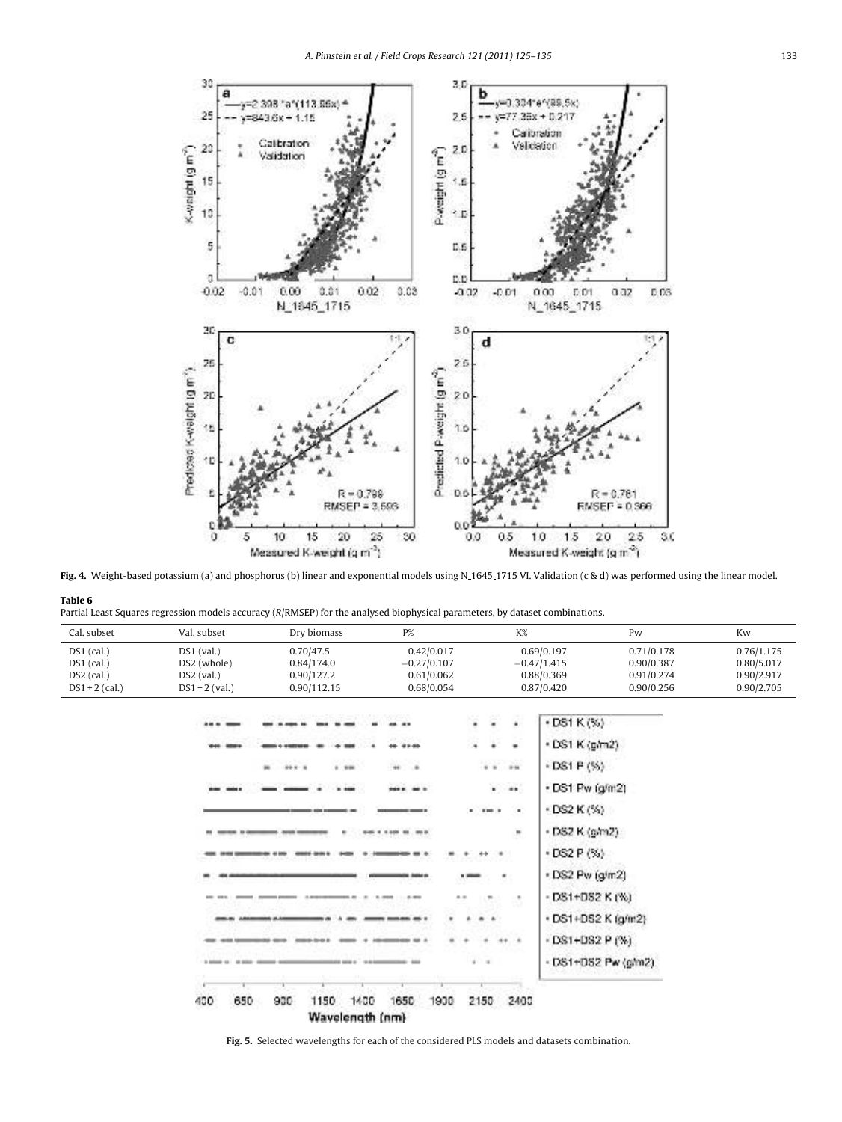

Fig. 4. Weight-based potassium (a) and phosphorus (b) linear and exponential models using N.1645.1715 VI. Validation (c & d) was performed using the linear model.

|  |  |  | Partial Least Squares regression models accuracy (R/RMSEP) for the analysed biophysical parameters, by dataset combinations. |
|--|--|--|------------------------------------------------------------------------------------------------------------------------------|
|  |  |  |                                                                                                                              |
|  |  |  |                                                                                                                              |
|  |  |  |                                                                                                                              |

Table 6

| Cal. subset                                                      | Val. subset                                                     | Dry biomass                                          | P%                                                      | K%                                                                         |                                                                                                                                                                                                                                     | Pw                                                   | Kw                                                   |
|------------------------------------------------------------------|-----------------------------------------------------------------|------------------------------------------------------|---------------------------------------------------------|----------------------------------------------------------------------------|-------------------------------------------------------------------------------------------------------------------------------------------------------------------------------------------------------------------------------------|------------------------------------------------------|------------------------------------------------------|
| $DS1$ (cal.)<br>$DS1$ (cal.)<br>$DS2$ (cal.)<br>$DS1 + 2$ (cal.) | $DS1$ (val.)<br>DS2 (whole)<br>$DS2$ (val.)<br>$DS1 + 2$ (val.) | 0.70/47.5<br>0.84/174.0<br>0.90/127.2<br>0.90/112.15 | 0.42/0.017<br>$-0.27/0.107$<br>0.61/0.062<br>0.68/0.054 |                                                                            | 0.69/0.197<br>$-0.47/1.415$<br>0.88/0.369<br>0.87/0.420                                                                                                                                                                             | 0.71/0.178<br>0.90/0.387<br>0.91/0.274<br>0.90/0.256 | 0.76/1.175<br>0.80/5.017<br>0.90/2.917<br>0.90/2.705 |
|                                                                  | 650<br>400                                                      | 1.99<br>664 8<br>900<br>1150                         | 91.66<br>÷<br>黒田<br>$-200$<br>1400<br>1650<br>1900      | ÷<br>×<br>٠<br><br>$\cdots$<br>$\mathbf{u}$<br>.<br>×<br>٠<br>2150<br>2400 | $-$ DS1 K $(%)$<br>· DS1 K (g/m2)<br>$-DS1 P($ %)<br>. DS1 Pw (g/m2)<br>$\cdot$ DS2 K $(%)$<br>· DS2 K (pm2)<br>$-$ DS2 P $(%)$<br>. DS2 Pw (g/m2)<br>· DS1+DS2 K (%)<br>· DS1+DS2 K (g/m2)<br>DS1+DS2 P (%)<br>- DS1+DS2 Pw (g/m2) |                                                      |                                                      |

Wavelength (nm)

Fig. 5. Selected wavelengths for each of the considered PLS models and datasets combination.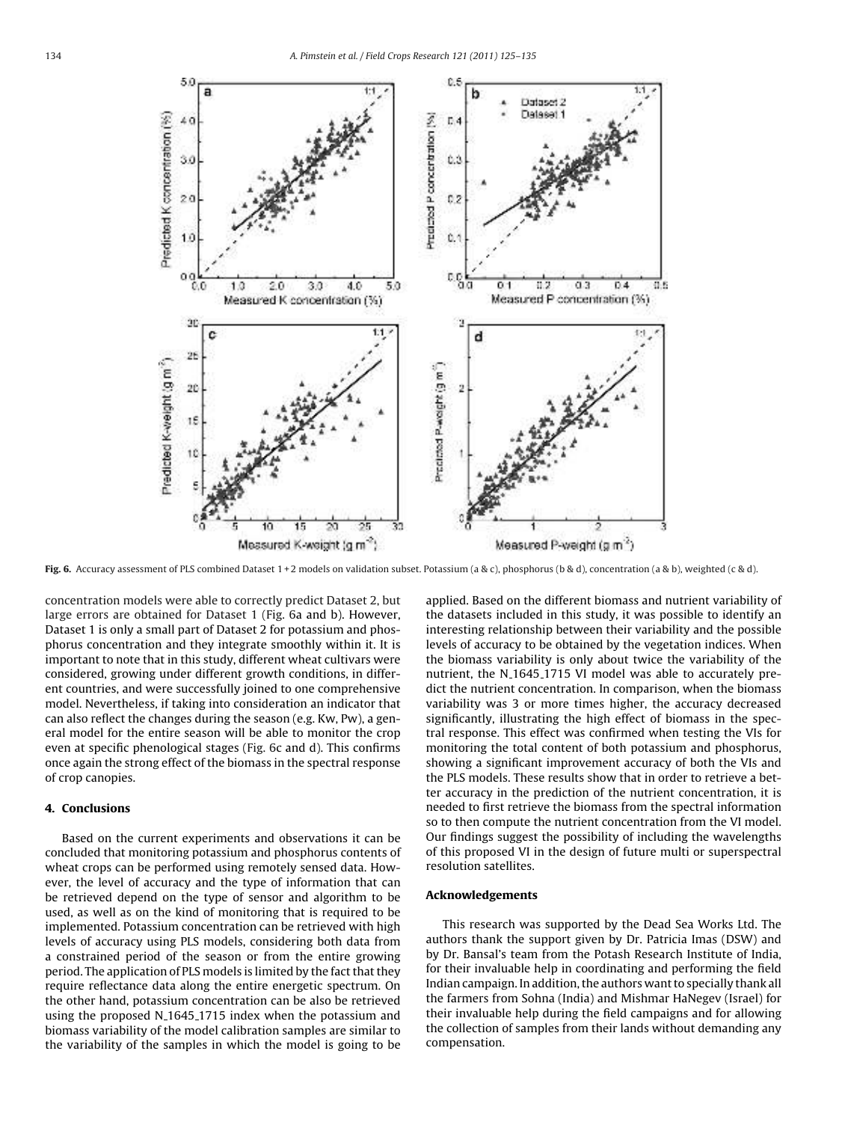

Fig. 6. Accuracy assessment of PLS combined Dataset  $1+2$  models on validation subset. Potassium (a & c), phosphorus (b & d), concentration (a & b), weighted (c & d).

concentration models were able to correctly predict Dataset 2, but large errors are obtained for Dataset 1 (Fig. 6a and b). However, Dataset 1 is only a small part of Dataset 2 for potassium and phosphorus concentration and they integrate smoothly within it. It is important to note that in this study, different wheat cultivars were considered, growing under different growth conditions, in different countries, and were successfully joined to one comprehensive model. Nevertheless, if taking into consideration an indicator that can also reflect the changes during the season (e.g. Kw, Pw), a general model for the entire season will be able to monitor the crop even at specific phenological stages (Fig. 6c and d). This confirms once again the strong effect of the biomass in the spectral response of crop canopies.

#### 4. Conclusions

Based on the current experiments and observations it can be concluded that monitoring potassium and phosphorus contents of wheat crops can be performed using remotely sensed data. However, the level of accuracy and the type of information that can be retrieved depend on the type of sensor and algorithm to be used, as well as on the kind of monitoring that is required to be implemented. Potassium concentration can be retrieved with high levels of accuracy using PLS models, considering both data from a constrained period of the season or from the entire growing period. The application of PLS models is limited by the fact that they require reflectance data along the entire energetic spectrum. On the other hand, potassium concentration can be also be retrieved using the proposed N<sub>-1645-1715</sub> index when the potassium and biomass variability of the model calibration samples are similar to the variability of the samples in which the model is going to be

applied. Based on the different biomass and nutrient variability of the datasets included in this study, it was possible to identify an interesting relationship between their variability and the possible levels of accuracy to be obtained by the vegetation indices. When the biomass variability is only about twice the variability of the nutrient, the N<sub>-1645-1715</sub> VI model was able to accurately predict the nutrient concentration. In comparison, when the biomass variability was 3 or more times higher, the accuracy decreased significantly, illustrating the high effect of biomass in the spectral response. This effect was confirmed when testing the VIs for monitoring the total content of both potassium and phosphorus, showing a significant improvement accuracy of both the VIs and the PLS models. These results show that in order to retrieve a better accuracy in the prediction of the nutrient concentration, it is needed to first retrieve the biomass from the spectral information so to then compute the nutrient concentration from the VI model. Our findings suggest the possibility of including the wavelengths of this proposed VI in the design of future multi or superspectral resolution satellites.

## Acknowledgements

This research was supported by the Dead Sea Works Ltd. The authors thank the support given by Dr. Patricia Imas (DSW) and by Dr. Bansal's team from the Potash Research Institute of India, for their invaluable help in coordinating and performing the field Indian campaign. In addition, the authors want to specially thank all the farmers from Sohna (India) and Mishmar HaNegev (Israel) for their invaluable help during the field campaigns and for allowing the collection of samples from their lands without demanding any compensation.